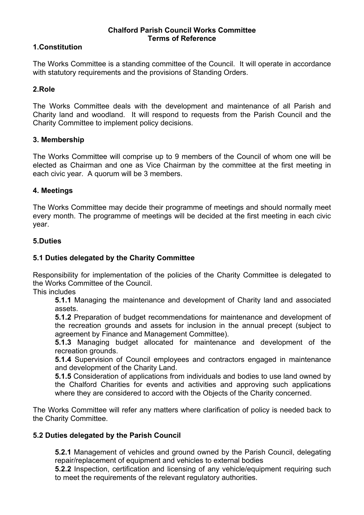# **Chalford Parish Council Works Committee Terms of Reference**

# **1.Constitution**

The Works Committee is a standing committee of the Council. It will operate in accordance with statutory requirements and the provisions of Standing Orders.

# **2.Role**

The Works Committee deals with the development and maintenance of all Parish and Charity land and woodland. It will respond to requests from the Parish Council and the Charity Committee to implement policy decisions.

## **3. Membership**

The Works Committee will comprise up to 9 members of the Council of whom one will be elected as Chairman and one as Vice Chairman by the committee at the first meeting in each civic year. A quorum will be 3 members.

## **4. Meetings**

The Works Committee may decide their programme of meetings and should normally meet every month. The programme of meetings will be decided at the first meeting in each civic year.

#### **5.Duties**

## **5.1 Duties delegated by the Charity Committee**

Responsibility for implementation of the policies of the Charity Committee is delegated to the Works Committee of the Council.

This includes

**5.1.1** Managing the maintenance and development of Charity land and associated assets.

**5.1.2** Preparation of budget recommendations for maintenance and development of the recreation grounds and assets for inclusion in the annual precept (subject to agreement by Finance and Management Committee).

**5.1.3** Managing budget allocated for maintenance and development of the recreation grounds.

**5.1.4** Supervision of Council employees and contractors engaged in maintenance and development of the Charity Land.

**5.1.5** Consideration of applications from individuals and bodies to use land owned by the Chalford Charities for events and activities and approving such applications where they are considered to accord with the Objects of the Charity concerned.

The Works Committee will refer any matters where clarification of policy is needed back to the Charity Committee.

## **5.2 Duties delegated by the Parish Council**

**5.2.1** Management of vehicles and ground owned by the Parish Council, delegating repair/replacement of equipment and vehicles to external bodies

**5.2.2** Inspection, certification and licensing of any vehicle/equipment requiring such to meet the requirements of the relevant regulatory authorities.